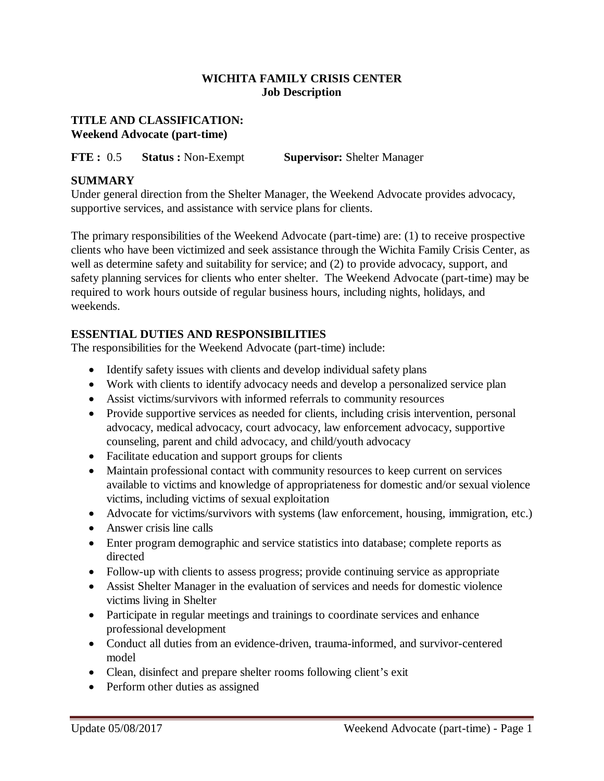# **WICHITA FAMILY CRISIS CENTER Job Description**

## **TITLE AND CLASSIFICATION: Weekend Advocate (part-time)**

**FTE :** 0.5 **Status :** Non-Exempt **Supervisor:** Shelter Manager

# **SUMMARY**

Under general direction from the Shelter Manager, the Weekend Advocate provides advocacy, supportive services, and assistance with service plans for clients.

The primary responsibilities of the Weekend Advocate (part-time) are: (1) to receive prospective clients who have been victimized and seek assistance through the Wichita Family Crisis Center, as well as determine safety and suitability for service; and (2) to provide advocacy, support, and safety planning services for clients who enter shelter. The Weekend Advocate (part-time) may be required to work hours outside of regular business hours, including nights, holidays, and weekends.

# **ESSENTIAL DUTIES AND RESPONSIBILITIES**

The responsibilities for the Weekend Advocate (part-time) include:

- Identify safety issues with clients and develop individual safety plans
- Work with clients to identify advocacy needs and develop a personalized service plan
- Assist victims/survivors with informed referrals to community resources
- Provide supportive services as needed for clients, including crisis intervention, personal advocacy, medical advocacy, court advocacy, law enforcement advocacy, supportive counseling, parent and child advocacy, and child/youth advocacy
- Facilitate education and support groups for clients
- Maintain professional contact with community resources to keep current on services available to victims and knowledge of appropriateness for domestic and/or sexual violence victims, including victims of sexual exploitation
- Advocate for victims/survivors with systems (law enforcement, housing, immigration, etc.)
- Answer crisis line calls
- Enter program demographic and service statistics into database; complete reports as directed
- Follow-up with clients to assess progress; provide continuing service as appropriate
- Assist Shelter Manager in the evaluation of services and needs for domestic violence victims living in Shelter
- Participate in regular meetings and trainings to coordinate services and enhance professional development
- Conduct all duties from an evidence-driven, trauma-informed, and survivor-centered model
- Clean, disinfect and prepare shelter rooms following client's exit
- Perform other duties as assigned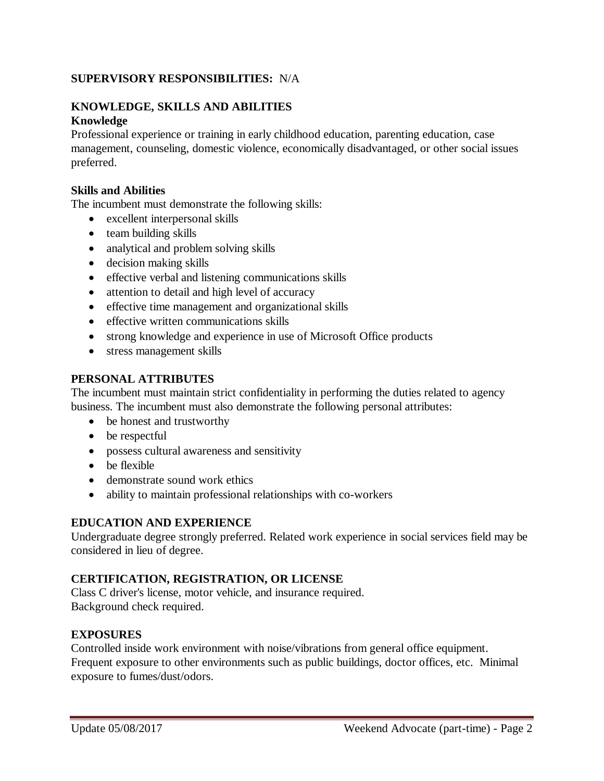# **SUPERVISORY RESPONSIBILITIES:** N/A

# **KNOWLEDGE, SKILLS AND ABILITIES Knowledge**

Professional experience or training in early childhood education, parenting education, case management, counseling, domestic violence, economically disadvantaged, or other social issues preferred.

#### **Skills and Abilities**

The incumbent must demonstrate the following skills:

- excellent interpersonal skills
- team building skills
- analytical and problem solving skills
- decision making skills
- effective verbal and listening communications skills
- attention to detail and high level of accuracy
- effective time management and organizational skills
- effective written communications skills
- strong knowledge and experience in use of Microsoft Office products
- stress management skills

#### **PERSONAL ATTRIBUTES**

The incumbent must maintain strict confidentiality in performing the duties related to agency business. The incumbent must also demonstrate the following personal attributes:

- be honest and trustworthy
- be respectful
- possess cultural awareness and sensitivity
- be flexible
- demonstrate sound work ethics
- ability to maintain professional relationships with co-workers

## **EDUCATION AND EXPERIENCE**

Undergraduate degree strongly preferred. Related work experience in social services field may be considered in lieu of degree.

#### **CERTIFICATION, REGISTRATION, OR LICENSE**

Class C driver's license, motor vehicle, and insurance required. Background check required.

## **EXPOSURES**

Controlled inside work environment with noise/vibrations from general office equipment. Frequent exposure to other environments such as public buildings, doctor offices, etc. Minimal exposure to fumes/dust/odors.